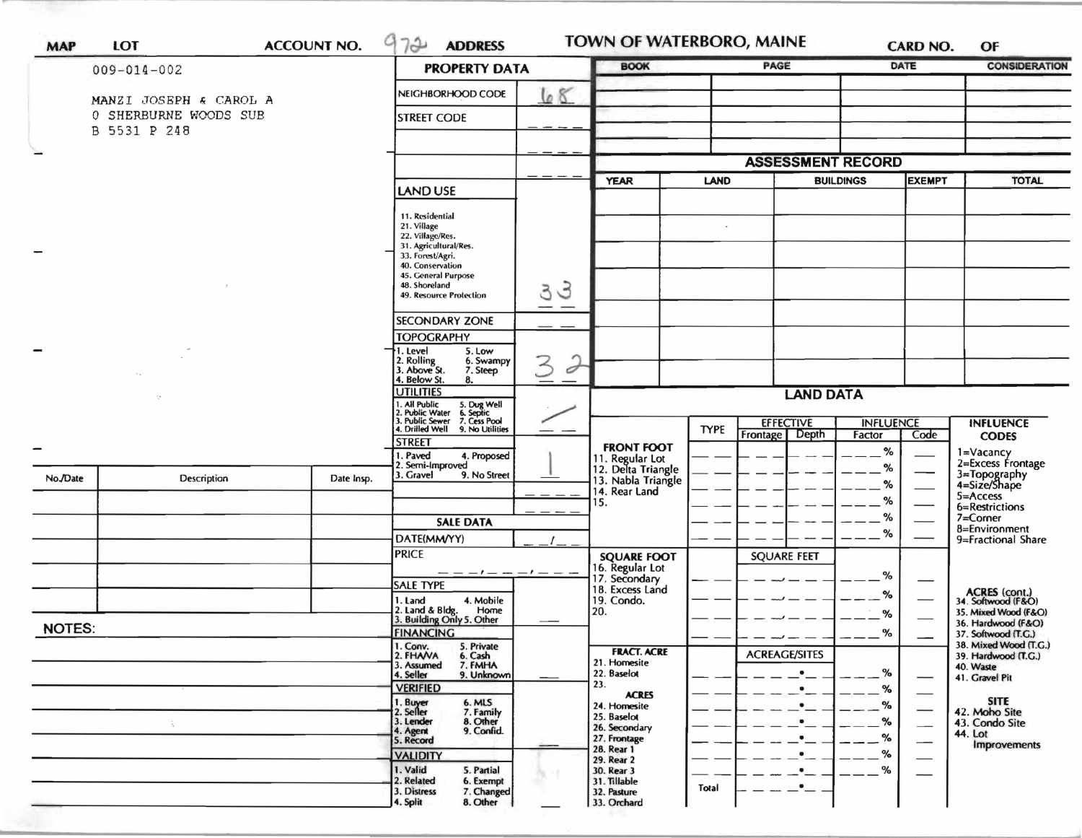|               | $009 - 014 - 002$        |                  | <b>PROPERTY DATA</b>                                                                   |                            | <b>BOOK</b>                           |              | PAGE                                  | DATE                       |                          | <b>CONSIDERATION</b>                         |
|---------------|--------------------------|------------------|----------------------------------------------------------------------------------------|----------------------------|---------------------------------------|--------------|---------------------------------------|----------------------------|--------------------------|----------------------------------------------|
|               |                          |                  |                                                                                        |                            |                                       |              |                                       |                            |                          |                                              |
|               | MANZI JOSEPH & CAROL A   |                  | NEIGHBORHOOD CODE                                                                      | 68                         |                                       |              |                                       |                            |                          |                                              |
|               | SHERBURNE WOODS SUB<br>0 |                  | <b>STREET CODE</b>                                                                     |                            |                                       |              |                                       |                            |                          |                                              |
|               | B 5531 P 248             |                  |                                                                                        |                            |                                       |              |                                       |                            |                          |                                              |
| -             |                          |                  |                                                                                        |                            |                                       |              | <b>ASSESSMENT RECORD</b>              |                            |                          |                                              |
|               |                          |                  |                                                                                        |                            |                                       |              |                                       |                            |                          |                                              |
|               |                          |                  | <b>LAND USE</b>                                                                        |                            | <b>YEAR</b>                           | <b>LAND</b>  |                                       | <b>BUILDINGS</b>           | <b>EXEMPT</b>            | <b>TOTAL</b>                                 |
|               |                          |                  | 11. Residential                                                                        |                            |                                       |              |                                       |                            |                          |                                              |
|               |                          |                  | 21. Village<br>22. Village/Res.                                                        |                            |                                       | $\mathbf{v}$ |                                       |                            |                          |                                              |
|               |                          |                  | 31. Agricultural/Res.                                                                  |                            |                                       |              |                                       |                            |                          |                                              |
|               |                          |                  | 33. Forest/Agri.<br>40. Conservation                                                   |                            |                                       |              |                                       |                            |                          |                                              |
|               |                          |                  | 45. General Purpose<br>48. Shoreland                                                   | $\mathcal{G}$              |                                       |              |                                       |                            |                          |                                              |
|               |                          |                  | 3<br>49. Resource Protection                                                           |                            |                                       |              |                                       |                            |                          |                                              |
|               |                          |                  | <b>SECONDARY ZONE</b>                                                                  |                            |                                       |              |                                       |                            |                          |                                              |
|               |                          |                  | <b>TOPOGRAPHY</b>                                                                      |                            |                                       |              |                                       |                            |                          |                                              |
|               |                          |                  | 1. Level<br>5. Low<br>6. Swampy                                                        |                            |                                       |              |                                       |                            |                          |                                              |
|               |                          |                  | 2. Rolling<br>3. Above St.<br>3<br>7. Steep<br>4. Below St.<br>8.                      | Í                          |                                       |              |                                       |                            |                          |                                              |
|               |                          | <b>UTILITIES</b> | <b>LAND DATA</b>                                                                       |                            |                                       |              |                                       |                            |                          |                                              |
|               |                          |                  | 1. All Public 5. Dug Well<br>2. Public Water 6. Septic<br>3. Public Sewer 7. Cess Pool |                            |                                       |              |                                       |                            |                          |                                              |
|               |                          |                  | 4. Drilled Well 9. No Utilities                                                        |                            |                                       | <b>TYPE</b>  | <b>EFFECTIVE</b><br>Depth<br>Frontage | <b>INFLUENCE</b><br>Factor | Code                     | <b>INFLUENCE</b><br><b>CODES</b>             |
|               |                          |                  | <b>STREET</b><br>1. Paved<br>4. Proposed                                               |                            | <b>FRONT FOOT</b>                     |              |                                       | %                          |                          |                                              |
|               |                          |                  | 2. Semi-Improved<br>3. Gravel                                                          |                            | 11. Regular Lot<br>12. Delta Triangle |              |                                       | %                          |                          | 1=Vacancy<br>2=Excess Frontage               |
| No./Date      | Description              | Date Insp.       | 9. No Street                                                                           |                            | 13. Nabla Triangle<br>14. Rear Land   |              |                                       | %                          |                          | 3=Topography<br>4=Size/Shape                 |
|               |                          |                  |                                                                                        | 15.                        |                                       |              |                                       | %                          |                          | $5 =$ Access<br>6=Restrictions               |
|               |                          |                  | <b>SALE DATA</b>                                                                       |                            |                                       |              |                                       | %                          |                          | $7 =$ Corner<br>8=Environment                |
|               |                          |                  | DATE(MM/YY)                                                                            |                            |                                       |              |                                       | %                          |                          | 9=Fractional Share                           |
|               |                          |                  | <b>PRICE</b>                                                                           |                            | <b>SQUARE FOOT</b><br>16. Regular Lot |              | <b>SQUARE FEET</b>                    |                            |                          |                                              |
|               |                          |                  | <b>SALE TYPE</b>                                                                       |                            | 17. Secondary                         |              |                                       | %                          |                          |                                              |
|               |                          |                  | 1. Land<br>4. Mobile                                                                   |                            | 18. Excess Land<br>19. Condo.         |              |                                       | %                          |                          | ACRES (cont.)<br>34. Softwood (F&O)          |
|               |                          |                  | 2. Land & Bldg. Home<br>3. Building Only 5. Other<br>Home                              | 20.                        |                                       |              |                                       | %                          |                          | 35. Mixed Wood (F&O)                         |
| <b>NOTES:</b> |                          |                  | <b>FINANCING</b>                                                                       |                            |                                       |              |                                       | %                          |                          | 36. Hardwood (F&O)<br>37. Softwood (T.G.)    |
|               |                          |                  | 1. Conv.<br>2. FHAVA<br>5. Private<br>6. Cash                                          |                            | <b>FRACT. ACRE</b>                    |              | <b>ACREAGE/SITES</b>                  |                            |                          | 38. Mixed Wood (T.G.)<br>39. Hardwood (T.G.) |
|               |                          |                  | 3. Assumed<br>7. FMHA<br>4. Seller<br>9. Unknown                                       | 22. Baselot                | 21. Homesite                          |              | $\bullet$                             | %                          |                          | 40. Waste<br>41. Gravel Pit                  |
|               |                          |                  | <b>VERIFIED</b>                                                                        | 23.                        | <b>ACRES</b>                          |              | $\bullet$                             | %                          |                          |                                              |
|               |                          |                  | 1. Buyer<br>2. Seller<br>6. MLS                                                        |                            | 24. Homesite                          |              | $\bullet$                             | %                          |                          | <b>SITE</b><br>42. Moho Site                 |
|               | $\tilde{\mathcal{A}}_1$  |                  | 7. Family<br>8. Other<br>3. Lender<br>9. Confid.<br>4. Agent                           | 25. Baselot                | 26. Secondary                         |              | $\bullet$                             | $\%$                       | $\overline{\phantom{0}}$ | 43. Condo Site                               |
|               |                          |                  | 5. Record                                                                              | 28. Rear 1                 | 27. Frontage                          |              |                                       | %                          |                          | 44. Lot<br>Improvements                      |
|               |                          |                  | <b>VALIDITY</b>                                                                        | 29. Rear 2                 |                                       |              |                                       | %                          |                          |                                              |
|               |                          |                  | 1. Valid<br>5. Partial<br>2. Related<br>6. Exempt                                      | 30. Rear 3<br>31. Tillable |                                       |              |                                       | %                          |                          |                                              |
|               |                          |                  | 3. Distress<br>7. Changed                                                              | 32. Pasture                |                                       | Total        |                                       |                            |                          |                                              |